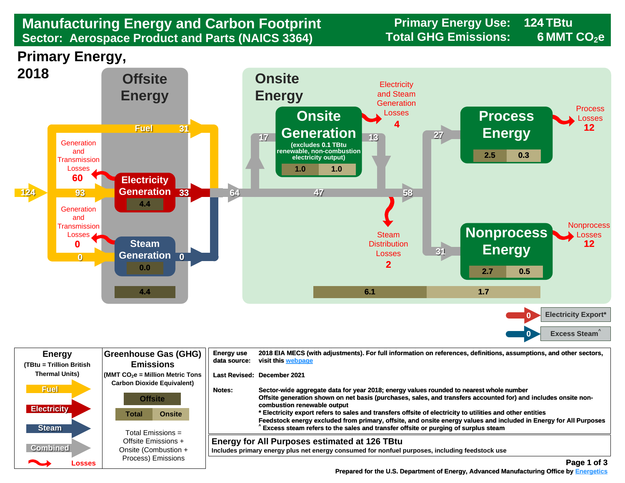## **Manufacturing Energy and Carbon Footprint Sector: Aerospace Product and Parts (NAICS 3364)**

**Primary Energy Use: 124 TBtu Total GHG Emissions: 6 MMT CO2e** 

**Primary Energy,** 



| <b>Energy</b><br>(TBtu = Trillion British         | <b>Greenhouse Gas (GHG)</b><br><b>Emissions</b>                                                      | <b>Energy use</b><br>data source: | 2018 EIA MECS (with adjustments). For full information on references, definitions, assumptions, and other sectors,<br>visit this webpage                                                                                                                                                                                                                                                                                                                                                                                                                        |
|---------------------------------------------------|------------------------------------------------------------------------------------------------------|-----------------------------------|-----------------------------------------------------------------------------------------------------------------------------------------------------------------------------------------------------------------------------------------------------------------------------------------------------------------------------------------------------------------------------------------------------------------------------------------------------------------------------------------------------------------------------------------------------------------|
| <b>Thermal Units)</b>                             | $\sqrt{\frac{1}{100}}$ (MMT CO <sub>2</sub> e = Million Metric Tons                                  |                                   | Last Revised: December 2021                                                                                                                                                                                                                                                                                                                                                                                                                                                                                                                                     |
| <b>Fuel</b><br><b>Electricity</b><br><b>Steam</b> | <b>Carbon Dioxide Equivalent)</b><br><b>Offsite</b><br><b>Onsite</b><br>Total<br>Total Emissions $=$ | Notes:                            | Sector-wide aggregate data for year 2018; energy values rounded to nearest whole number<br>Offsite generation shown on net basis (purchases, sales, and transfers accounted for) and includes onsite non-<br>combustion renewable output<br>* Electricity export refers to sales and transfers offsite of electricity to utilities and other entities<br>Feedstock energy excluded from primary, offsite, and onsite energy values and included in Energy for All Purposes<br>Excess steam refers to the sales and transfer offsite or purging of surplus steam |
| <b>Combined</b>                                   | Offsite Emissions +<br>Onsite (Combustion +<br>Process) Emissions                                    |                                   | <b>Energy for All Purposes estimated at 126 TBtu</b><br>Includes primary energy plus net energy consumed for nonfuel purposes, including feedstock use                                                                                                                                                                                                                                                                                                                                                                                                          |
| <b>Participate</b><br>Losses                      |                                                                                                      |                                   | Page 1 of 3                                                                                                                                                                                                                                                                                                                                                                                                                                                                                                                                                     |

**[Prepared for the U.S. Department of Energy, Advanced Manufacturing Office by Energetics](https://www.energetics.com/)**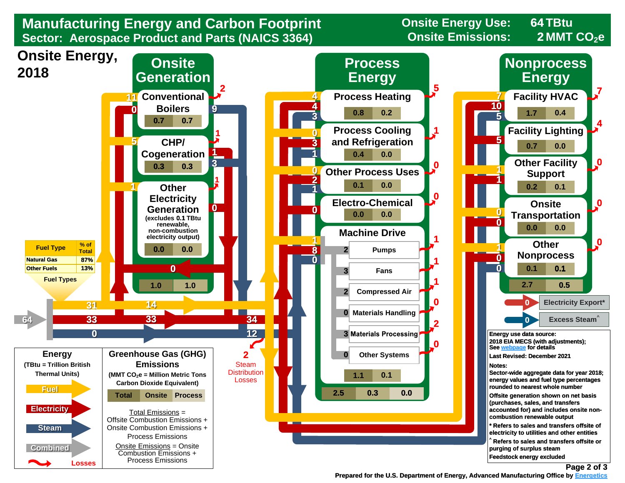

**[Prepared for the U.S. Department of Energy, Advanced Manufacturing Office by Energetics](https://www.energetics.com/)**